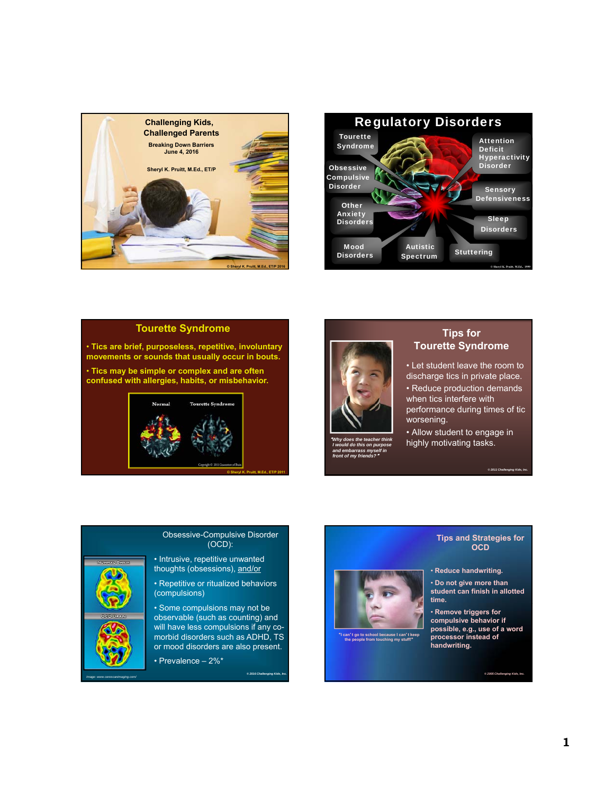



### **Tourette Syndrome**

• **Tics are brief, purposeless, repetitive, involuntary movements or sounds that usually occur in bouts.** 

• **Tics may be simple or complex and are often confused with allergies, habits, or misbehavior.**





"*Why does the teacher think I would do this on purpose and embarrass myself in front of my friends?*"

#### **Tips for Tourette Syndrome**

• Let student leave the room to discharge tics in private place. • Reduce production demands when tics interfere with performance during times of tic worsening.

• Allow student to engage in highly motivating tasks.

*© 2011 Challenging Kids, Inc.*

# Obsessive-Compulsive Disorder (OCD):

• Intrusive, repetitive unwanted thoughts (obsessions), and/or

• Repetitive or ritualized behaviors (compulsions)

• Some compulsions may not be observable (such as counting) and will have less compulsions if any comorbid disorders such as ADHD, TS or mood disorders are also present.

 $© 2016 Challengin$ 

• Prevalence – 2%\*

*Image: www.cerescanimaging.com/*



"**I can**'**t go to school because I can**'**t keep the people from touching my stuff!**"

#### **Tips and Strategies for OCD**

• **Reduce handwriting.** 

• **Do not give more than student can finish in allotted time.**

• **Remove triggers for compulsive behavior if possible, e.g., use of a word processor instead of handwriting.** 

 $@$  2005 Challengi

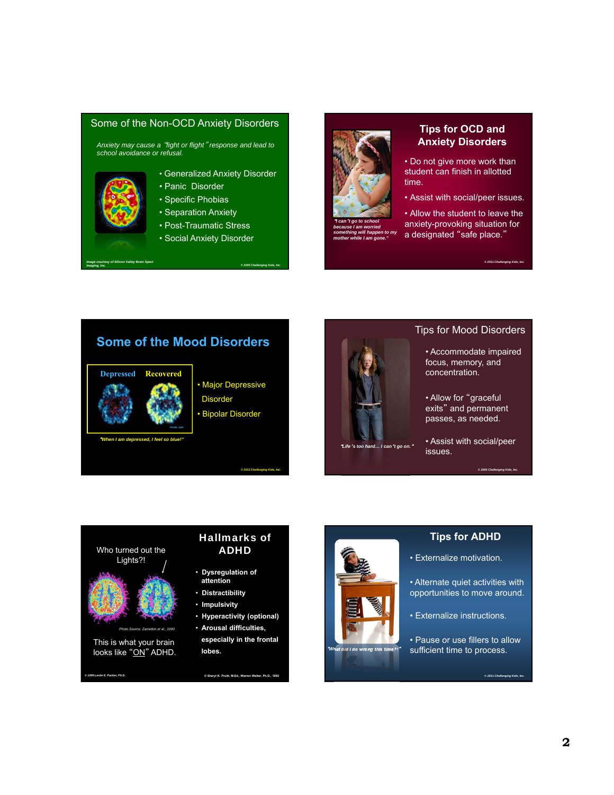#### Some of the Non-OCD Anxiety Disorders

*Anxiety may cause a* "*fight or flight*" *response and lead to school avoidance or refusal.*

- Generalized Anxiety Disorder
- Panic Disorder
- Specific Phobias
- Separation Anxiety
- Post-Traumatic Stress
- Social Anxiety Disorder



*mother while I am gone."*

# **Tips for OCD and Anxiety Disorders**

• Do not give more work than student can finish in allotted time.

• Assist with social/peer issues.

• Allow the student to leave the anxiety-provoking situation for a designated "safe place."

*© 2011 Challenging Kids, Inc.*

# **Some of the Mood Disorders**



"*When I am depressed, I feel so blue!"*

*Image courtesy of Silicon Valley Brain Spect*

*Imaging, Inc.*

# • Major Depressive **Disorder** • Bipolar Disorder

*© 2013 Challenging Kids, Inc.*

*© 2005 Challenging Kids, Inc.*



#### "*Life*'*s too hard… I can*'*t go on.*"

# Tips for Mood Disorders

• Accommodate impaired focus, memory, and concentration.

• Allow for "graceful exits" and permanent passes, as needed.

• Assist with social/peer issues.

*© 2005 Challenging Kids, Inc.*





#### **Tips for ADHD**

• Externalize motivation.

• Alternate quiet activities with opportunities to move around.

- Externalize instructions.
- Pause or use fillers to allow at did I do wrong this time?!" sufficient time to process.

*© 2011 Challenging Kids, Inc.*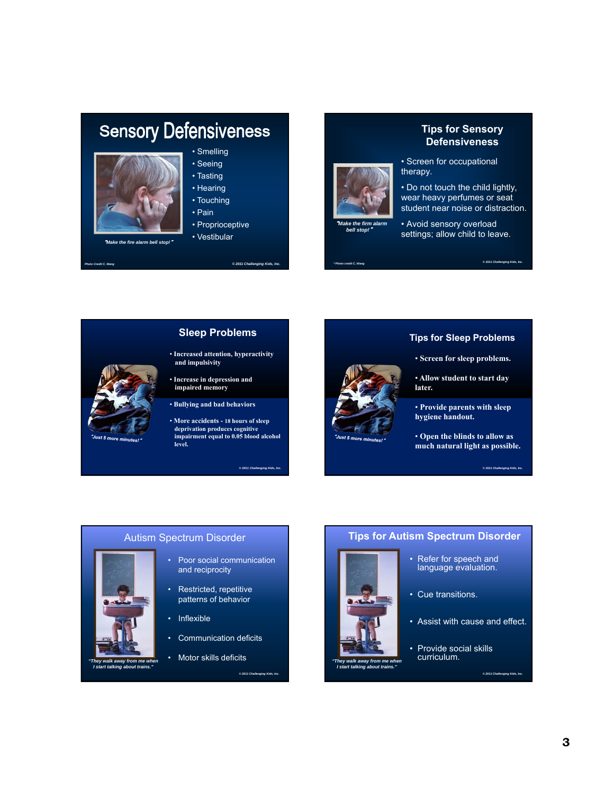# **Sensory Defensiveness**



"*Make the fire alarm bell stop!*"

*Photo Credit C. Wang*

• Smelling

• Seeing • Tasting

- Hearing
- Touching
- Pain
- Proprioceptive
- Vestibular





**Tips for Sensory Defensiveness**

• Screen for occupational therapy.

• Do not touch the child lightly, wear heavy perfumes or seat student near noise or distraction.

• Avoid sensory overload settings; allow child to leave.



#### **Sleep Problems**

- **Increased attention, hyperactivity and impulsivity**
- **Increase in depression and impaired memory**
- **Bullying and bad behaviors**
- **More accidents - 18 hours of sleep deprivation produces cognitive impairment equal to 0.05 blood alcohol level.**

*© 2011 Challenging Kids, Inc.*

*© 2011 Challenging Kids, Inc.*

*© 2011 Challenging Kids, Inc.*

#### **Tips for Sleep Problems**

- **Screen for sleep problems.**
- **Allow student to start day later.**
- **Provide parents with sleep hygiene handout.**
- **Open the blinds to allow as much natural light as possible.**

*© 2011 Challenging Kids, Inc.*

# Autism Spectrum Disorder

- Poor social communication and reciprocity
- Restricted, repetitive patterns of behavior
- Inflexible

*"They walk away from me when I start talking about trains."*

- Communication deficits
- Motor skills deficits

# **Tips for Autism Spectrum Disorder**

Refer for speech and language evaluation.



*"They walk away from me when I start talking about trains."*

- Assist with cause and effect.
	- Provide social skills curriculum.

• Cue transitions.

 $@ 2011$  Challenging Kids, In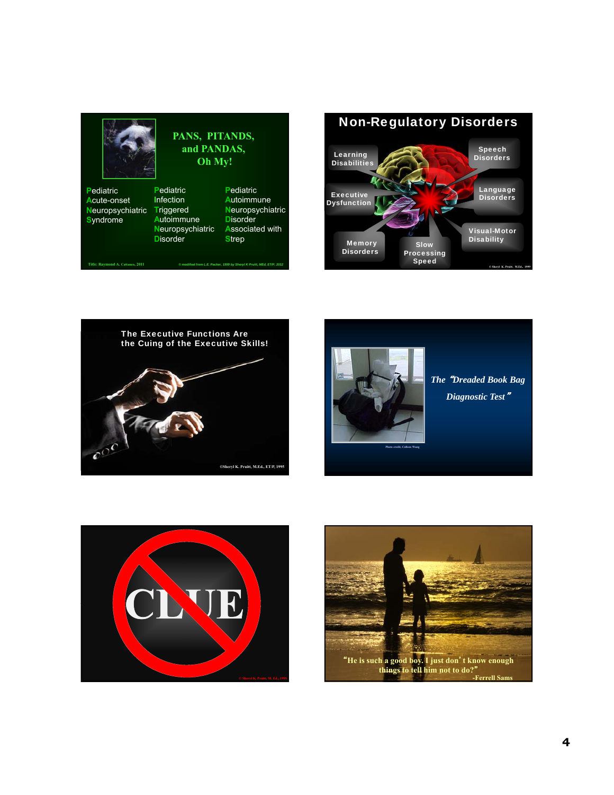







*The* "*Dreaded Book Bag Diagnostic Test*"



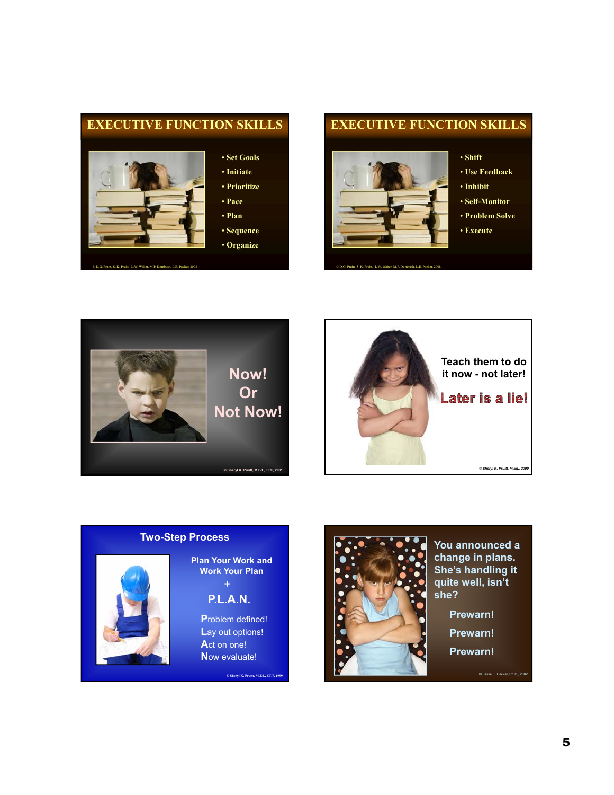

# **EXECUTIVE FUNCTION SKILLS**



© D.G. Pruitt, S. K. Pruitt, L.W. Walter, M.P. Dornbush, L.E. Packer, 2008

- **Shift**
- **Use Feedback**
- **Inhibit**
- **Self-Monitor**
- **Problem Solve**
- **Execute**







**Plan Your Work and Work Your Plan +**

**P.L.A.N.**

**P**roblem defined! **L**ay out options! **A**ct on one! **N**ow evaluate!

**© Sheryl K. Pruitt, M.Ed., ET/P, 1999** 



**change in plans. She's handling it quite well, isn't she?** 

**Prewarn!**

**Prewarn!**

**Prewarn!**

© Leslie E. Packer, Ph.D., 2002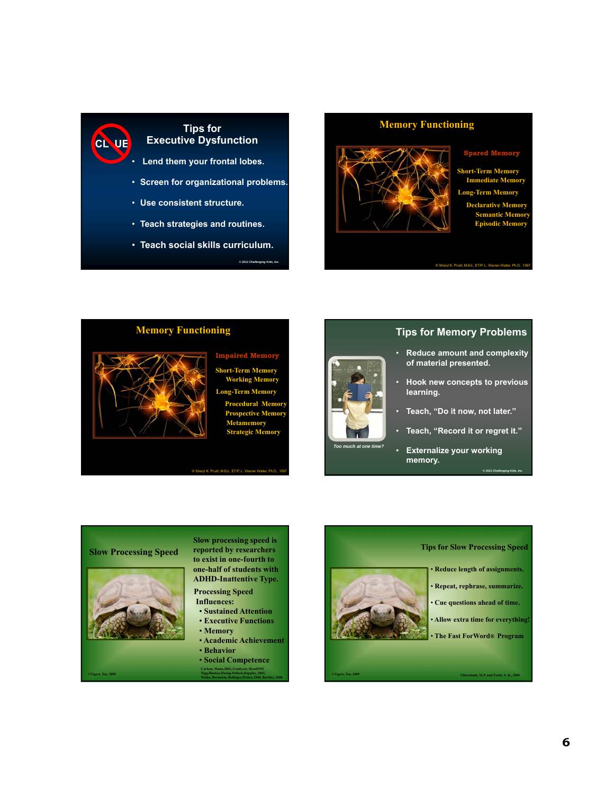# **Tips for Executive Dysfunction**

**CL UE**

- **Lend them your frontal lobes.**
- **Screen for organizational problems.**
- **Use consistent structure.**
- **Teach strategies and routines.**
- **Teach social skills curriculum.**

# **Memory Functioning**



#### **Spared Me**

**Short-Term Memory Immediate Memory Long-Term Memory Declarative Memory Semantic Mem Episodic Memo** 

© Sheryl K. Pruitt, M.Ed., ET/P, L. Warren Walter, Ph.D., 1997



**Short-Term Memory Working Memory Long-Term Memory Procedural Memory Prospective Memory Metamemory Strategic Memory**

*© 2011 Challenging Kids, Inc.*



# **Tips for Memory Problems**

- **Reduce amount and complexity of material presented.**
- **Hook new concepts to previous learning.**
- **Teach, "Do it now, not later."**
- **Teach, "Record it or regret it."**

*© 2011 Challenging Kids, Inc.*

• **Externalize your working memory.**

# **Slow Processing Speed**



**©Tigers, Too, 2009**

**Slow processing speed is reported by researchers to exist in one-fourth to one-half of students with ADHD-Inattentive Type.**

tt, M.Ed., ET/P, L

**Processing Speed Influences:**

- **Sustained Attention** • **Executive Functions**
- **Memory**
- **Academic Achievement**
- **Behavior**
- **Carlson, Mann,2002, Goodyear, Hynd1992 Nigg,Blaskey,Huang-Pollock,Rappley, 2002, Weiler, Bernstein, Bellinger,Waber, 2000, Barkley, 2006** • **Social Competence**

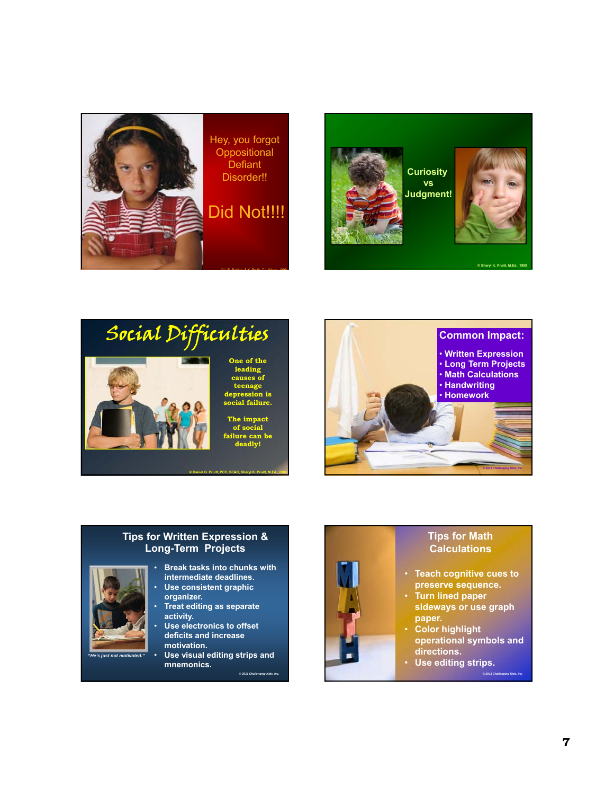







# **Tips for Written Expression & Long-Term Projects**



- **Break tasks into chunks with intermediate deadlines.**
- **Use consistent graphic organizer.**
- **Treat editing as separate activity.**
- **Use electronics to offset deficits and increase motivation.**

*© 2011 Challenging Kids, Inc.*

• **Use visual editing strips and mnemonics.**  *"He's just not motivated."*



# **Tips for Math Calculations**

- **Teach cognitive cues to preserve sequence.**
- **Turn lined paper sideways or use graph paper.**
- **Color highlight operational symbols and directions.**

*© 2011 Challenging Kids, Inc.*

• **Use editing strips.**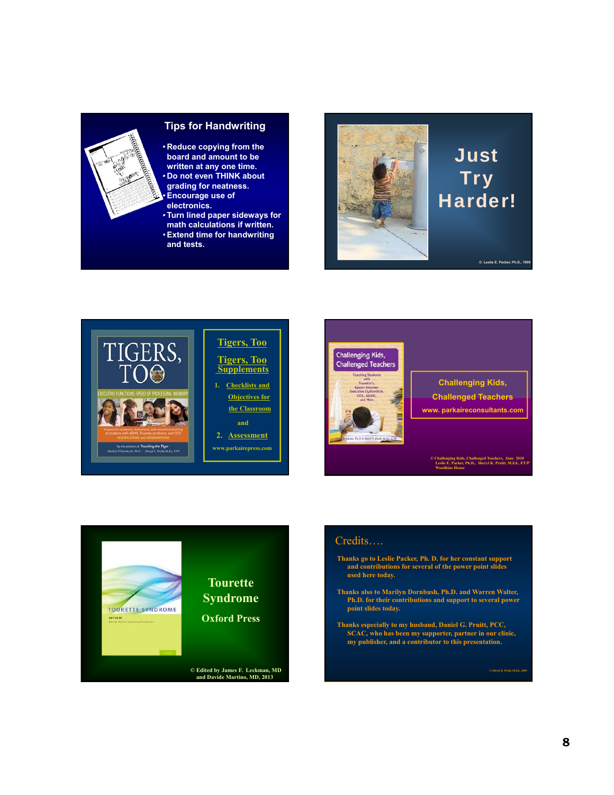

# **Tips for Handwriting**

- **Reduce copying from the board and amount to be written at any one time.** • **Do not even THINK about grading for neatness.**
- •**Encourage use of electronics.**
- **Turn lined paper sideways for math calculations if written.**
- •**Extend time for handwriting and tests.**







**Challenging Kids, Challenged Teachers www. parkaireconsultants.com**

**© Challenging Kids, Challenged Teachers, June 2010 Leslie E. Packer, Ph.D., Sheryl K. Pruitt, M.Ed., ET/P Woodbine House**



#### Credits….

- **Thanks go to Leslie Packer, Ph. D. for her constant support and contributions for several of the power point slides used here today.**
- **Thanks also to Marilyn Dornbush, Ph.D. and Warren Walter, Ph.D. for their contributions and support to several power point slides today.**
- **Thanks especially to my husband, Daniel G. Pruitt, PCC, SCAC, who has been my supporter, partner in our clinic, my publisher, and a contributor to this presentation.**

**8**